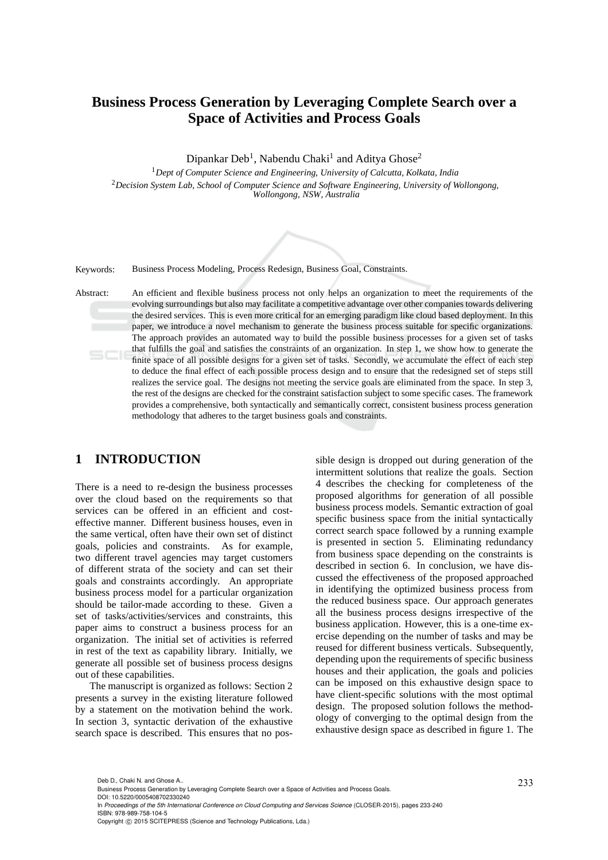# **Business Process Generation by Leveraging Complete Search over a Space of Activities and Process Goals**

Dipankar Deb<sup>1</sup>, Nabendu Chaki<sup>1</sup> and Aditya Ghose<sup>2</sup>

<sup>1</sup>*Dept of Computer Science and Engineering, University of Calcutta, Kolkata, India* <sup>2</sup>*Decision System Lab, School of Computer Science and Software Engineering, University of Wollongong, Wollongong, NSW, Australia*



Keywords: Business Process Modeling, Process Redesign, Business Goal, Constraints.

Abstract: An efficient and flexible business process not only helps an organization to meet the requirements of the evolving surroundings but also may facilitate a competitive advantage over other companies towards delivering the desired services. This is even more critical for an emerging paradigm like cloud based deployment. In this paper, we introduce a novel mechanism to generate the business process suitable for specific organizations. The approach provides an automated way to build the possible business processes for a given set of tasks that fulfills the goal and satisfies the constraints of an organization. In step 1, we show how to generate the finite space of all possible designs for a given set of tasks. Secondly, we accumulate the effect of each step to deduce the final effect of each possible process design and to ensure that the redesigned set of steps still realizes the service goal. The designs not meeting the service goals are eliminated from the space. In step 3, the rest of the designs are checked for the constraint satisfaction subject to some specific cases. The framework provides a comprehensive, both syntactically and semantically correct, consistent business process generation methodology that adheres to the target business goals and constraints.

## **1 INTRODUCTION**

There is a need to re-design the business processes over the cloud based on the requirements so that services can be offered in an efficient and costeffective manner. Different business houses, even in the same vertical, often have their own set of distinct goals, policies and constraints. As for example, two different travel agencies may target customers of different strata of the society and can set their goals and constraints accordingly. An appropriate business process model for a particular organization should be tailor-made according to these. Given a set of tasks/activities/services and constraints, this paper aims to construct a business process for an organization. The initial set of activities is referred in rest of the text as capability library. Initially, we generate all possible set of business process designs out of these capabilities.

The manuscript is organized as follows: Section 2 presents a survey in the existing literature followed by a statement on the motivation behind the work. In section 3, syntactic derivation of the exhaustive search space is described. This ensures that no pos-

sible design is dropped out during generation of the intermittent solutions that realize the goals. Section 4 describes the checking for completeness of the proposed algorithms for generation of all possible business process models. Semantic extraction of goal specific business space from the initial syntactically correct search space followed by a running example is presented in section 5. Eliminating redundancy from business space depending on the constraints is described in section 6. In conclusion, we have discussed the effectiveness of the proposed approached in identifying the optimized business process from the reduced business space. Our approach generates all the business process designs irrespective of the business application. However, this is a one-time exercise depending on the number of tasks and may be reused for different business verticals. Subsequently, depending upon the requirements of specific business houses and their application, the goals and policies can be imposed on this exhaustive design space to have client-specific solutions with the most optimal design. The proposed solution follows the methodology of converging to the optimal design from the exhaustive design space as described in figure 1. The

DOI: 10.5220/0005408702330240

Deb D., Chaki N. and Ghose A..<br>Business Process Generation by Leveraging Complete Search over a Space of Activities and Process Goals.

In *Proceedings of the 5th International Conference on Cloud Computing and Services Science* (CLOSER-2015), pages 233-240 ISBN: 978-989-758-104-5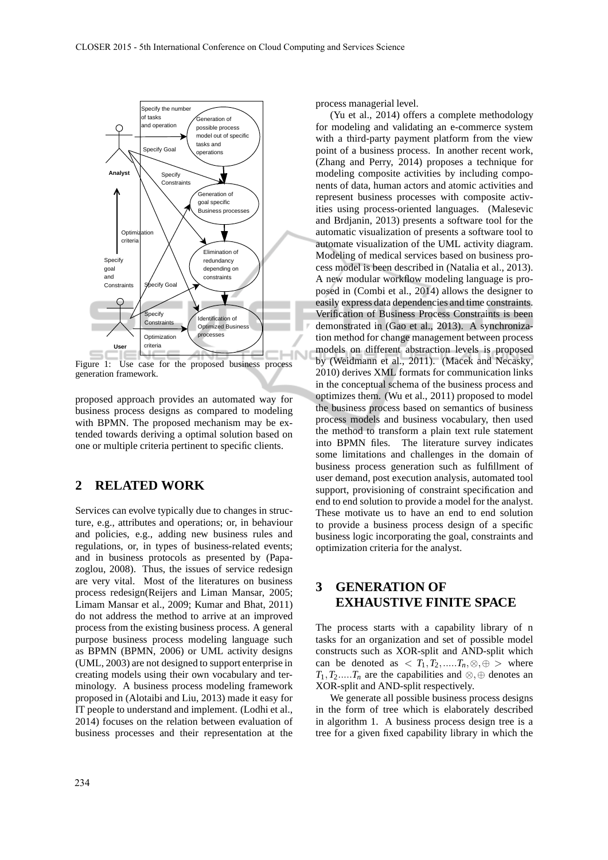

Figure 1: Use case for the proposed business process generation framework.

proposed approach provides an automated way for business process designs as compared to modeling with BPMN. The proposed mechanism may be extended towards deriving a optimal solution based on one or multiple criteria pertinent to specific clients.

## **2 RELATED WORK**

Services can evolve typically due to changes in structure, e.g., attributes and operations; or, in behaviour and policies, e.g., adding new business rules and regulations, or, in types of business-related events; and in business protocols as presented by (Papazoglou, 2008). Thus, the issues of service redesign are very vital. Most of the literatures on business process redesign(Reijers and Liman Mansar, 2005; Limam Mansar et al., 2009; Kumar and Bhat, 2011) do not address the method to arrive at an improved process from the existing business process. A general purpose business process modeling language such as BPMN (BPMN, 2006) or UML activity designs (UML, 2003) are not designed to support enterprise in creating models using their own vocabulary and terminology. A business process modeling framework proposed in (Alotaibi and Liu, 2013) made it easy for IT people to understand and implement. (Lodhi et al., 2014) focuses on the relation between evaluation of business processes and their representation at the process managerial level.

(Yu et al., 2014) offers a complete methodology for modeling and validating an e-commerce system with a third-party payment platform from the view point of a business process. In another recent work, (Zhang and Perry, 2014) proposes a technique for modeling composite activities by including components of data, human actors and atomic activities and represent business processes with composite activities using process-oriented languages. (Malesevic and Brdjanin, 2013) presents a software tool for the automatic visualization of presents a software tool to automate visualization of the UML activity diagram. Modeling of medical services based on business process model is been described in (Natalia et al., 2013). A new modular workflow modeling language is proposed in (Combi et al., 2014) allows the designer to easily express data dependencies and time constraints. Verification of Business Process Constraints is been demonstrated in (Gao et al., 2013). A synchronization method for change management between process models on different abstraction levels is proposed by (Weidmann et al., 2011). (Macek and Necasky, 2010) derives XML formats for communication links in the conceptual schema of the business process and optimizes them. (Wu et al., 2011) proposed to model the business process based on semantics of business process models and business vocabulary, then used the method to transform a plain text rule statement into BPMN files. The literature survey indicates some limitations and challenges in the domain of business process generation such as fulfillment of user demand, post execution analysis, automated tool support, provisioning of constraint specification and end to end solution to provide a model for the analyst. These motivate us to have an end to end solution to provide a business process design of a specific business logic incorporating the goal, constraints and optimization criteria for the analyst.

## **3 GENERATION OF EXHAUSTIVE FINITE SPACE**

The process starts with a capability library of n tasks for an organization and set of possible model constructs such as XOR-split and AND-split which can be denoted as  $\langle T_1, T_2, \ldots, T_n, \otimes, \oplus \rangle$  where  $T_1, T_2,...,T_n$  are the capabilities and ⊗,⊕ denotes an XOR-split and AND-split respectively.

We generate all possible business process designs in the form of tree which is elaborately described in algorithm 1. A business process design tree is a tree for a given fixed capability library in which the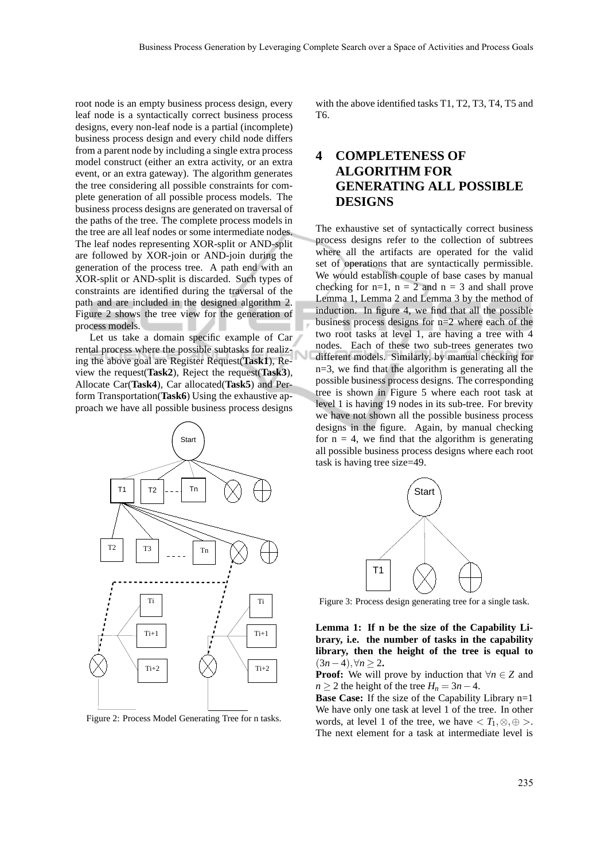root node is an empty business process design, every leaf node is a syntactically correct business process designs, every non-leaf node is a partial (incomplete) business process design and every child node differs from a parent node by including a single extra process model construct (either an extra activity, or an extra event, or an extra gateway). The algorithm generates the tree considering all possible constraints for complete generation of all possible process models. The business process designs are generated on traversal of the paths of the tree. The complete process models in the tree are all leaf nodes or some intermediate nodes. The leaf nodes representing XOR-split or AND-split are followed by XOR-join or AND-join during the generation of the process tree. A path end with an XOR-split or AND-split is discarded. Such types of constraints are identified during the traversal of the path and are included in the designed algorithm 2. Figure 2 shows the tree view for the generation of process models.

Let us take a domain specific example of Car rental process where the possible subtasks for realizing the above goal are Register Request(**Task1**), Review the request(**Task2**), Reject the request(**Task3**), Allocate Car(**Task4**), Car allocated(**Task5**) and Perform Transportation(**Task6**) Using the exhaustive approach we have all possible business process designs



Figure 2: Process Model Generating Tree for n tasks.

with the above identified tasks T1, T2, T3, T4, T5 and T6.

## **4 COMPLETENESS OF ALGORITHM FOR GENERATING ALL POSSIBLE DESIGNS**

The exhaustive set of syntactically correct business process designs refer to the collection of subtrees where all the artifacts are operated for the valid set of operations that are syntactically permissible. We would establish couple of base cases by manual checking for  $n=1$ ,  $n = 2$  and  $n = 3$  and shall prove Lemma 1, Lemma 2 and Lemma 3 by the method of induction. In figure 4, we find that all the possible business process designs for n=2 where each of the two root tasks at level 1, are having a tree with 4 nodes. Each of these two sub-trees generates two different models. Similarly, by manual checking for n=3, we find that the algorithm is generating all the possible business process designs. The corresponding tree is shown in Figure 5 where each root task at level 1 is having 19 nodes in its sub-tree. For brevity we have not shown all the possible business process designs in the figure. Again, by manual checking for  $n = 4$ , we find that the algorithm is generating all possible business process designs where each root task is having tree size=49.



Figure 3: Process design generating tree for a single task.

**Lemma 1: If n be the size of the Capability Library, i.e. the number of tasks in the capability library, then the height of the tree is equal to** (3*n*−4),∀*n* ≥ 2**.**

**Proof:** We will prove by induction that  $\forall n \in \mathbb{Z}$  and *n*  $\geq$  2 the height of the tree *H<sub>n</sub>* = 3*n* − 4.

**Base Case:** If the size of the Capability Library n=1 We have only one task at level 1 of the tree. In other words, at level 1 of the tree, we have  $\langle T_1, \otimes, \oplus \rangle$ . The next element for a task at intermediate level is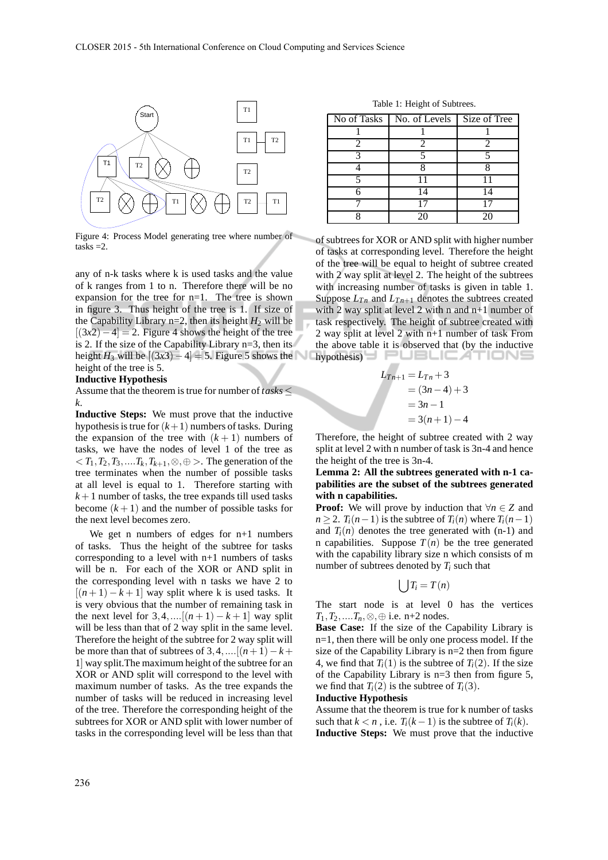

Figure 4: Process Model generating tree where number of  $tasks = 2.$ 

any of n-k tasks where k is used tasks and the value of k ranges from 1 to n. Therefore there will be no expansion for the tree for n=1. The tree is shown in figure 3. Thus height of the tree is 1. If size of the Capability Library  $n=2$ , then its height  $H_2$  will be  $[(3x2)-4] = 2$ . Figure 4 shows the height of the tree is 2. If the size of the Capability Library n=3, then its height *H*<sub>3</sub> will be  $[(3x3)-4] = 5$ . Figure 5 shows the height of the tree is 5.

#### **Inductive Hypothesis**

Assume that the theorem is true for number of *tasks* ≤ *k*.

**Inductive Steps:** We must prove that the inductive hypothesis is true for  $(k+1)$  numbers of tasks. During the expansion of the tree with  $(k + 1)$  numbers of tasks, we have the nodes of level 1 of the tree as  $T_1, T_2, T_3, \ldots, T_k, T_{k+1}, \otimes, \oplus$  >. The generation of the tree terminates when the number of possible tasks at all level is equal to 1. Therefore starting with  $k+1$  number of tasks, the tree expands till used tasks become  $(k+1)$  and the number of possible tasks for the next level becomes zero.

We get n numbers of edges for  $n+1$  numbers of tasks. Thus the height of the subtree for tasks corresponding to a level with n+1 numbers of tasks will be n. For each of the XOR or AND split in the corresponding level with n tasks we have 2 to  $[(n+1)-k+1]$  way split where k is used tasks. It is very obvious that the number of remaining task in the next level for  $3, 4, ...$  [ $(n + 1) - k + 1$ ] way split will be less than that of 2 way split in the same level. Therefore the height of the subtree for 2 way split will be more than that of subtrees of  $3, 4, \ldots$ [ $(n+1)-k+$ 1] way split.The maximum height of the subtree for an XOR or AND split will correspond to the level with maximum number of tasks. As the tree expands the number of tasks will be reduced in increasing level of the tree. Therefore the corresponding height of the subtrees for XOR or AND split with lower number of tasks in the corresponding level will be less than that

Table 1: Height of Subtrees.

| No of Tasks | No. of Levels | Size of Tree |
|-------------|---------------|--------------|
|             |               |              |
|             |               |              |
|             |               |              |
|             |               |              |
|             |               |              |
|             | 14            | 14           |
|             |               |              |
|             |               | 76           |

of subtrees for XOR or AND split with higher number of tasks at corresponding level. Therefore the height of the tree will be equal to height of subtree created with 2 way split at level 2. The height of the subtrees with increasing number of tasks is given in table 1. Suppose  $L_{T_n}$  and  $L_{T_{n+1}}$  denotes the subtrees created with 2 way split at level 2 with n and n+1 number of task respectively. The height of subtree created with 2 way split at level 2 with n+1 number of task From the above table it is observed that (by the inductive hypothesis)

$$
L_{Tn+1} = L_{Tn} + 3
$$
  
= (3n - 4) + 3  
= 3n - 1  
= 3(n + 1) - 4

Therefore, the height of subtree created with 2 way split at level 2 with n number of task is 3n-4 and hence the height of the tree is 3n-4.

#### **Lemma 2: All the subtrees generated with n-1 capabilities are the subset of the subtrees generated with n capabilities.**

**Proof:** We will prove by induction that  $\forall n \in \mathbb{Z}$  and  $n \geq 2$ . *T*<sub>*i*</sub>( $n-1$ ) is the subtree of *T*<sub>*i*</sub>( $n$ ) where *T*<sub>*i*</sub>( $n-1$ ) and  $T_i(n)$  denotes the tree generated with  $(n-1)$  and n capabilities. Suppose  $T(n)$  be the tree generated with the capability library size n which consists of m number of subtrees denoted by *T<sup>i</sup>* such that

$$
\bigcup T_i = T(n)
$$

The start node is at level 0 has the vertices *T*<sub>1</sub>*, T*<sub>2</sub>*, ....T*<sub>*n*</sub>,⊗, ⊕ i.e. n+2 nodes.

**Base Case:** If the size of the Capability Library is n=1, then there will be only one process model. If the size of the Capability Library is n=2 then from figure 4, we find that  $T_i(1)$  is the subtree of  $T_i(2)$ . If the size of the Capability Library is n=3 then from figure 5, we find that  $T_i(2)$  is the subtree of  $T_i(3)$ .

#### **Inductive Hypothesis**

Assume that the theorem is true for k number of tasks such that  $k < n$ , i.e.  $T_i(k-1)$  is the subtree of  $T_i(k)$ . **Inductive Steps:** We must prove that the inductive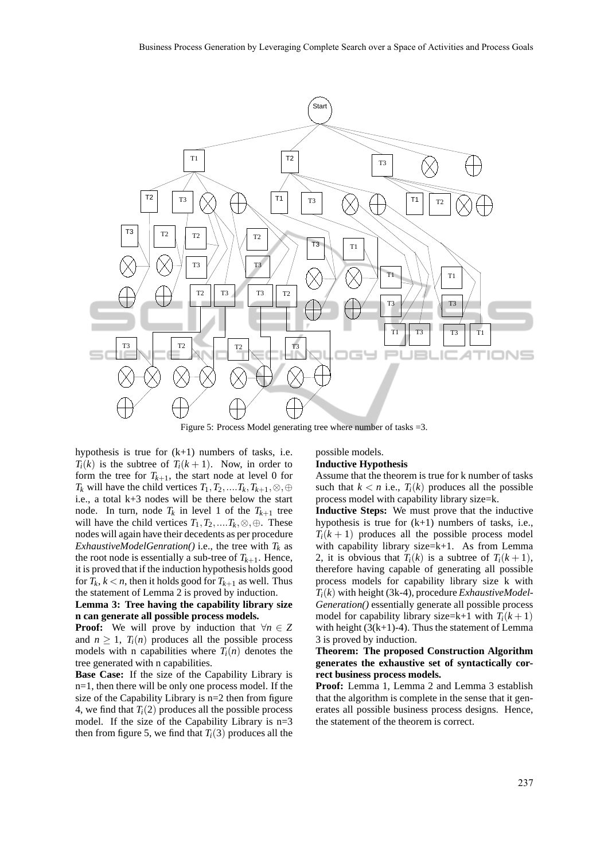

Figure 5: Process Model generating tree where number of tasks =3.

hypothesis is true for  $(k+1)$  numbers of tasks, i.e.  $T_i(k)$  is the subtree of  $T_i(k+1)$ . Now, in order to form the tree for  $T_{k+1}$ , the start node at level 0 for *T*<sup>*k*</sup> will have the child vertices *T*<sub>1</sub>, *T*<sub>2</sub>,....*T*<sub>*k*</sub>, *T*<sub>*k*+1</sub>, ⊗, ⊕ i.e., a total k+3 nodes will be there below the start node. In turn, node  $T_k$  in level 1 of the  $T_{k+1}$  tree will have the child vertices  $T_1, T_2, \ldots, T_k, \otimes, \oplus$ . These nodes will again have their decedents as per procedure *ExhaustiveModelGenration()* i.e., the tree with  $T_k$  as the root node is essentially a sub-tree of  $T_{k+1}$ . Hence, it is proved that if the induction hypothesis holds good for  $T_k$ ,  $k < n$ , then it holds good for  $T_{k+1}$  as well. Thus the statement of Lemma 2 is proved by induction.

#### **Lemma 3: Tree having the capability library size n can generate all possible process models.**

**Proof:** We will prove by induction that  $\forall n \in \mathbb{Z}$ and  $n > 1$ ,  $T_i(n)$  produces all the possible process models with n capabilities where  $T_i(n)$  denotes the tree generated with n capabilities.

**Base Case:** If the size of the Capability Library is n=1, then there will be only one process model. If the size of the Capability Library is n=2 then from figure 4, we find that  $T_i(2)$  produces all the possible process model. If the size of the Capability Library is n=3 then from figure 5, we find that  $T_i(3)$  produces all the

possible models. **Inductive Hypothesis**

Assume that the theorem is true for k number of tasks such that  $k < n$  i.e.,  $T_i(k)$  produces all the possible process model with capability library size=k.

**Inductive Steps:** We must prove that the inductive hypothesis is true for  $(k+1)$  numbers of tasks, i.e.,  $T_i(k+1)$  produces all the possible process model with capability library size=k+1. As from Lemma 2, it is obvious that  $T_i(k)$  is a subtree of  $T_i(k+1)$ , therefore having capable of generating all possible process models for capability library size k with  $T_i(k)$  with height (3k-4), procedure *ExhaustiveModel*-*Generation()* essentially generate all possible process model for capability library size=k+1 with  $T_i(k+1)$ with height  $(3(k+1)-4)$ . Thus the statement of Lemma 3 is proved by induction.

#### **Theorem: The proposed Construction Algorithm generates the exhaustive set of syntactically correct business process models.**

**Proof:** Lemma 1, Lemma 2 and Lemma 3 establish that the algorithm is complete in the sense that it generates all possible business process designs. Hence, the statement of the theorem is correct.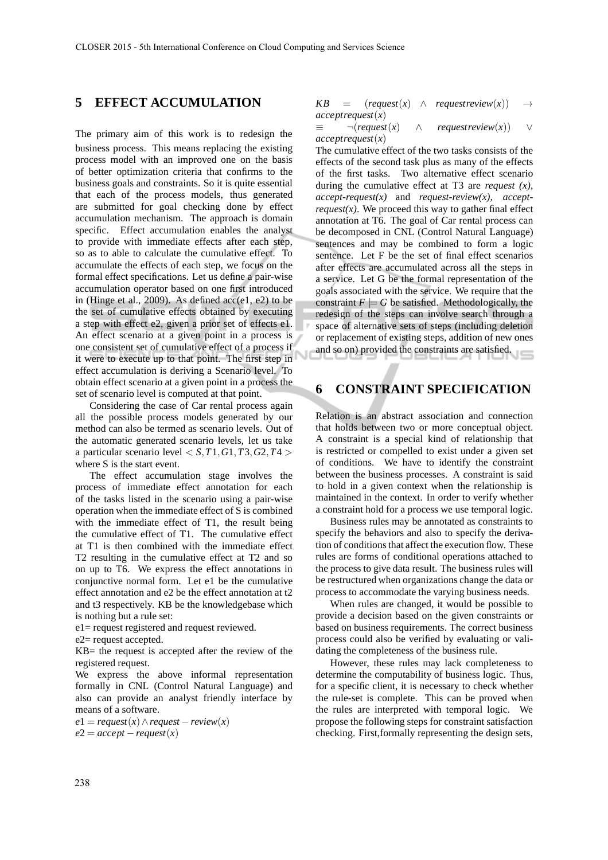### **5 EFFECT ACCUMULATION**

The primary aim of this work is to redesign the business process. This means replacing the existing process model with an improved one on the basis of better optimization criteria that confirms to the business goals and constraints. So it is quite essential that each of the process models, thus generated are submitted for goal checking done by effect accumulation mechanism. The approach is domain specific. Effect accumulation enables the analyst to provide with immediate effects after each step, so as to able to calculate the cumulative effect. To accumulate the effects of each step, we focus on the formal effect specifications. Let us define a pair-wise accumulation operator based on one first introduced in (Hinge et al., 2009). As defined  $acc(e1, e2)$  to be the set of cumulative effects obtained by executing a step with effect e2, given a prior set of effects e1. An effect scenario at a given point in a process is one consistent set of cumulative effect of a process if it were to execute up to that point. The first step in effect accumulation is deriving a Scenario level. To obtain effect scenario at a given point in a process the set of scenario level is computed at that point.

Considering the case of Car rental process again all the possible process models generated by our method can also be termed as scenario levels. Out of the automatic generated scenario levels, let us take a particular scenario level  $\langle S, T1, G1, T3, G2, T4 \rangle$ where S is the start event.

The effect accumulation stage involves the process of immediate effect annotation for each of the tasks listed in the scenario using a pair-wise operation when the immediate effect of S is combined with the immediate effect of T1, the result being the cumulative effect of T1. The cumulative effect at T1 is then combined with the immediate effect T2 resulting in the cumulative effect at T2 and so on up to T6. We express the effect annotations in conjunctive normal form. Let e1 be the cumulative effect annotation and e2 be the effect annotation at t2 and t3 respectively. KB be the knowledgebase which is nothing but a rule set:

e1= request registered and request reviewed.

e2= request accepted.

KB= the request is accepted after the review of the registered request.

We express the above informal representation formally in CNL (Control Natural Language) and also can provide an analyst friendly interface by means of a software.

 $e1 = request(x) \land request - review(x)$  $e2 = accept - request(x)$ 

 $KB = (request(x) \land requestreview(x)) \rightarrow$ *acceptrequest*(*x*)

≡ ¬(*request*(*x*) ∧ *requestreview*(*x*)) ∨ *acceptrequest*(*x*)

The cumulative effect of the two tasks consists of the effects of the second task plus as many of the effects of the first tasks. Two alternative effect scenario during the cumulative effect at T3 are *request (x), accept-request(x)* and *request-review(x), acceptrequest(x)*. We proceed this way to gather final effect annotation at T6. The goal of Car rental process can be decomposed in CNL (Control Natural Language) sentences and may be combined to form a logic sentence. Let F be the set of final effect scenarios after effects are accumulated across all the steps in a service. Let G be the formal representation of the goals associated with the service. We require that the constraint  $F \models G$  be satisfied. Methodologically, the redesign of the steps can involve search through a space of alternative sets of steps (including deletion or replacement of existing steps, addition of new ones and so on) provided the constraints are satisfied.

### **6 CONSTRAINT SPECIFICATION**

Relation is an abstract association and connection that holds between two or more conceptual object. A constraint is a special kind of relationship that is restricted or compelled to exist under a given set of conditions. We have to identify the constraint between the business processes. A constraint is said to hold in a given context when the relationship is maintained in the context. In order to verify whether a constraint hold for a process we use temporal logic.

Business rules may be annotated as constraints to specify the behaviors and also to specify the derivation of conditions that affect the execution flow. These rules are forms of conditional operations attached to the process to give data result. The business rules will be restructured when organizations change the data or process to accommodate the varying business needs.

When rules are changed, it would be possible to provide a decision based on the given constraints or based on business requirements. The correct business process could also be verified by evaluating or validating the completeness of the business rule.

However, these rules may lack completeness to determine the computability of business logic. Thus, for a specific client, it is necessary to check whether the rule-set is complete. This can be proved when the rules are interpreted with temporal logic. We propose the following steps for constraint satisfaction checking. First,formally representing the design sets,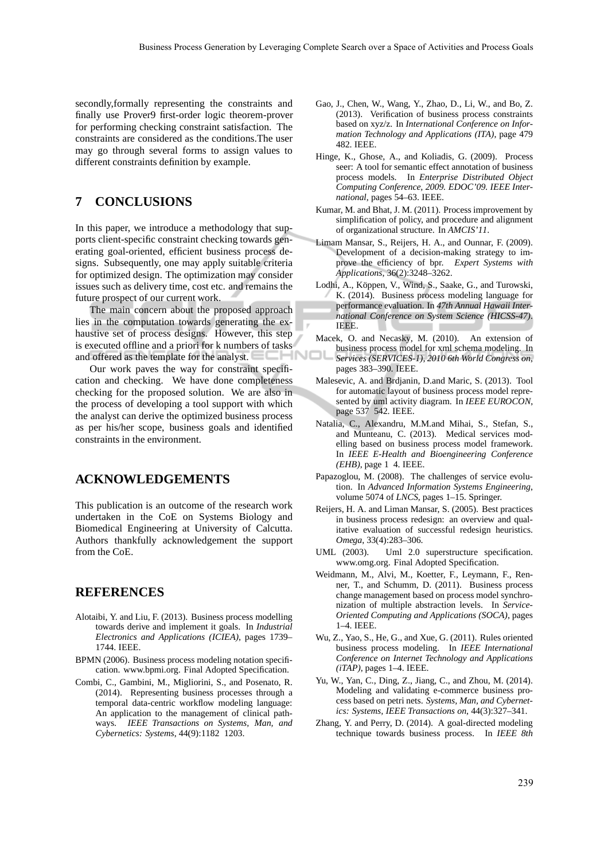secondly,formally representing the constraints and finally use Prover9 first-order logic theorem-prover for performing checking constraint satisfaction. The constraints are considered as the conditions.The user may go through several forms to assign values to different constraints definition by example.

### **7 CONCLUSIONS**

In this paper, we introduce a methodology that supports client-specific constraint checking towards generating goal-oriented, efficient business process designs. Subsequently, one may apply suitable criteria for optimized design. The optimization may consider issues such as delivery time, cost etc. and remains the future prospect of our current work.

The main concern about the proposed approach lies in the computation towards generating the exhaustive set of process designs. However, this step is executed offline and a priori for k numbers of tasks and offered as the template for the analyst.

Our work paves the way for constraint specification and checking. We have done completeness checking for the proposed solution. We are also in the process of developing a tool support with which the analyst can derive the optimized business process as per his/her scope, business goals and identified constraints in the environment.

### **ACKNOWLEDGEMENTS**

This publication is an outcome of the research work undertaken in the CoE on Systems Biology and Biomedical Engineering at University of Calcutta. Authors thankfully acknowledgement the support from the CoE.

### **REFERENCES**

- Alotaibi, Y. and Liu, F. (2013). Business process modelling towards derive and implement it goals. In *Industrial Electronics and Applications (ICIEA)*, pages 1739– 1744. IEEE.
- BPMN (2006). Business process modeling notation specification. www.bpmi.org. Final Adopted Specification.
- Combi, C., Gambini, M., Migliorini, S., and Posenato, R. (2014). Representing business processes through a temporal data-centric workflow modeling language: An application to the management of clinical pathways. *IEEE Transactions on Systems, Man, and Cybernetics: Systems*, 44(9):1182 1203.
- Gao, J., Chen, W., Wang, Y., Zhao, D., Li, W., and Bo, Z. (2013). Verification of business process constraints based on xyz/z. In *International Conference on Information Technology and Applications (ITA)*, page 479 482. IEEE.
- Hinge, K., Ghose, A., and Koliadis, G. (2009). Process seer: A tool for semantic effect annotation of business process models. In *Enterprise Distributed Object Computing Conference, 2009. EDOC'09. IEEE International*, pages 54–63. IEEE.
- Kumar, M. and Bhat, J. M. (2011). Process improvement by simplification of policy, and procedure and alignment of organizational structure. In *AMCIS'11*.
- Limam Mansar, S., Reijers, H. A., and Ounnar, F. (2009). Development of a decision-making strategy to improve the efficiency of bpr. *Expert Systems with Applications*, 36(2):3248–3262.
- Lodhi, A., Köppen, V., Wind, S., Saake, G., and Turowski, K. (2014). Business process modeling language for performance evaluation. In *47th Annual Hawaii International Conference on System Science (HICSS-47)*. IEEE.
- Macek, O. and Necasky, M. (2010). An extension of business process model for xml schema modeling. In *Services (SERVICES-1), 2010 6th World Congress on*, pages 383–390. IEEE.
- Malesevic, A. and Brdjanin, D.and Maric, S. (2013). Tool for automatic layout of business process model represented by uml activity diagram. In *IEEE EUROCON*, page 537 542. IEEE.
- Natalia, C., Alexandru, M.M.and Mihai, S., Stefan, S., and Munteanu, C. (2013). Medical services modelling based on business process model framework. In *IEEE E-Health and Bioengineering Conference (EHB)*, page 1 4. IEEE.
- Papazoglou, M. (2008). The challenges of service evolution. In *Advanced Information Systems Engineering*, volume 5074 of *LNCS*, pages 1–15. Springer.
- Reijers, H. A. and Liman Mansar, S. (2005). Best practices in business process redesign: an overview and qualitative evaluation of successful redesign heuristics. *Omega*, 33(4):283–306.
- UML (2003). Uml 2.0 superstructure specification. www.omg.org. Final Adopted Specification.
- Weidmann, M., Alvi, M., Koetter, F., Leymann, F., Renner, T., and Schumm, D. (2011). Business process change management based on process model synchronization of multiple abstraction levels. In *Service-Oriented Computing and Applications (SOCA)*, pages 1–4. IEEE.
- Wu, Z., Yao, S., He, G., and Xue, G. (2011). Rules oriented business process modeling. In *IEEE International Conference on Internet Technology and Applications (iTAP)*, pages 1–4. IEEE.
- Yu, W., Yan, C., Ding, Z., Jiang, C., and Zhou, M. (2014). Modeling and validating e-commerce business process based on petri nets. *Systems, Man, and Cybernetics: Systems, IEEE Transactions on*, 44(3):327–341.
- Zhang, Y. and Perry, D. (2014). A goal-directed modeling technique towards business process. In *IEEE 8th*